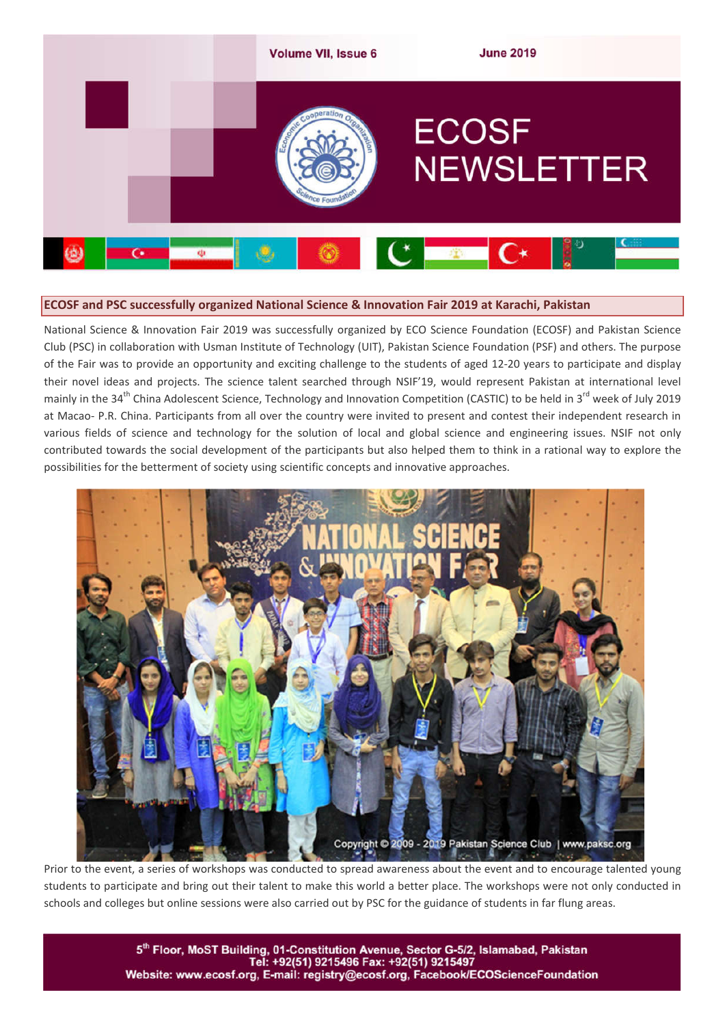

### **ECOSF and PSC successfully organized National Science & Innovation Fair 2019 at Karachi, Pakistan**

National Science & Innovation Fair 2019 was successfully organized by ECO Science Foundation (ECOSF) and Pakistan Science Club (PSC) in collaboration with Usman Institute of Technology (UIT), Pakistan Science Foundation (PSF) and others. The purpose of the Fair was to provide an opportunity and exciting challenge to the students of aged 12-20 years to participate and display their novel ideas and projects. The science talent searched through NSIF'19, would represent Pakistan at international level mainly in the 34<sup>th</sup> China Adolescent Science, Technology and Innovation Competition (CASTIC) to be held in 3<sup>rd</sup> week of July 2019 at Macao- P.R. China. Participants from all over the country were invited to present and contest their independent research in various fields of science and technology for the solution of local and global science and engineering issues. NSIF not only contributed towards the social development of the participants but also helped them to think in a rational way to explore the possibilities for the betterment of society using scientific concepts and innovative approaches.



Prior to the event, a series of workshops was conducted to spread awareness about the event and to encourage talented young students to participate and bring out their talent to make this world a better place. The workshops were not only conducted in schools and colleges but online sessions were also carried out by PSC for the guidance of students in far flung areas.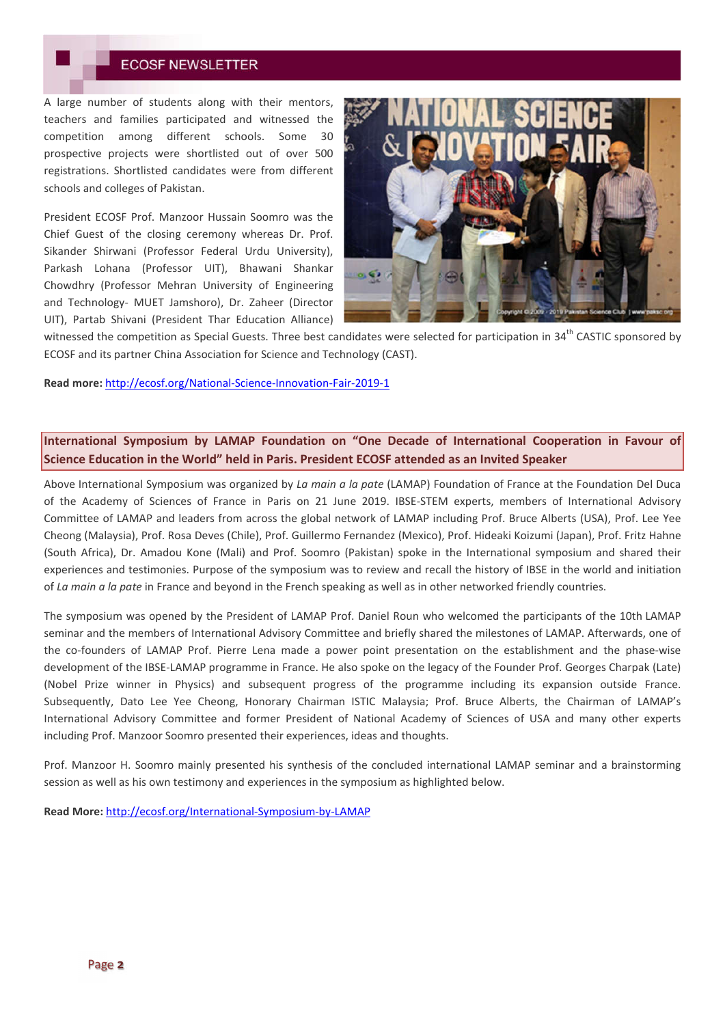A large number of students along with their mentors, teachers and families participated and witnessed the competition among different schools. Some 30 prospective projects were shortlisted out of over 500 registrations. Shortlisted candidates were from different schools and colleges of Pakistan.

President ECOSF Prof. Manzoor Hussain Soomro was the Chief Guest of the closing ceremony whereas Dr. Prof. Sikander Shirwani (Professor Federal Urdu University), Parkash Lohana (Professor UIT), Bhawani Shankar Chowdhry (Professor Mehran University of Engineering and Technology- MUET Jamshoro), Dr. Zaheer (Director UIT), Partab Shivani (President Thar Education Alliance)



witnessed the competition as Special Guests. Three best candidates were selected for participation in 34<sup>th</sup> CASTIC sponsored by ECOSF and its partner China Association for Science and Technology (CAST).

**Read more:** http://ecosf.org/National-Science-Innovation-Fair-2019-1

## **International Symposium by LAMAP Foundation on "One Decade of International Cooperation in Favour of Science Education in the World" held in Paris. President ECOSF attended as an Invited Speaker**

Above International Symposium was organized by *La main a la pate* (LAMAP) Foundation of France at the Foundation Del Duca of the Academy of Sciences of France in Paris on 21 June 2019. IBSE-STEM experts, members of International Advisory Committee of LAMAP and leaders from across the global network of LAMAP including Prof. Bruce Alberts (USA), Prof. Lee Yee Cheong (Malaysia), Prof. Rosa Deves (Chile), Prof. Guillermo Fernandez (Mexico), Prof. Hideaki Koizumi (Japan), Prof. Fritz Hahne (South Africa), Dr. Amadou Kone (Mali) and Prof. Soomro (Pakistan) spoke in the International symposium and shared their experiences and testimonies. Purpose of the symposium was to review and recall the history of IBSE in the world and initiation of *La main a la pate* in France and beyond in the French speaking as well as in other networked friendly countries.

The symposium was opened by the President of LAMAP Prof. Daniel Roun who welcomed the participants of the 10th LAMAP seminar and the members of International Advisory Committee and briefly shared the milestones of LAMAP. Afterwards, one of the co-founders of LAMAP Prof. Pierre Lena made a power point presentation on the establishment and the phase-wise development of the IBSE-LAMAP programme in France. He also spoke on the legacy of the Founder Prof. Georges Charpak (Late) (Nobel Prize winner in Physics) and subsequent progress of the programme including its expansion outside France. Subsequently, Dato Lee Yee Cheong, Honorary Chairman ISTIC Malaysia; Prof. Bruce Alberts, the Chairman of LAMAP's International Advisory Committee and former President of National Academy of Sciences of USA and many other experts including Prof. Manzoor Soomro presented their experiences, ideas and thoughts.

Prof. Manzoor H. Soomro mainly presented his synthesis of the concluded international LAMAP seminar and a brainstorming session as well as his own testimony and experiences in the symposium as highlighted below.

**Read More:** http://ecosf.org/International-Symposium-by-LAMAP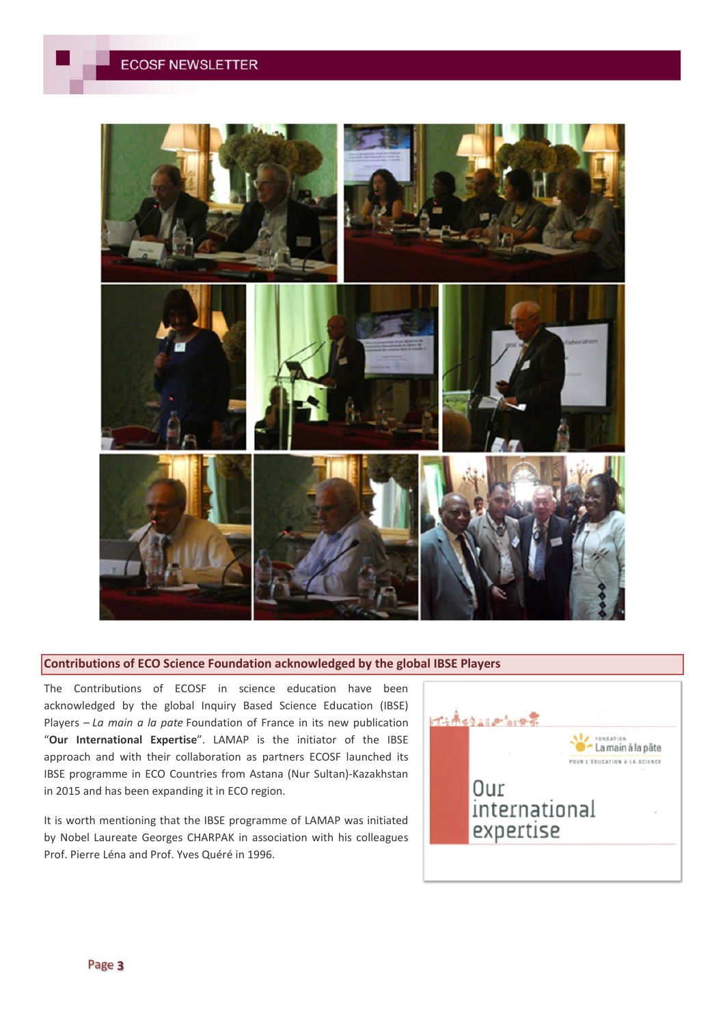

#### **Contributions of ECO Science Foundation acknowledged by the global IBSE Players**

The Contributions of ECOSF in science education have been acknowledged by the global Inquiry Based Science Education (IBSE) Players – *La main a la pate* Foundation of France in its new publication "**Our International Expertise**". LAMAP is the initiator of the IBSE approach and with their collaboration as partners ECOSF launched its IBSE programme in ECO Countries from Astana (Nur Sultan)-Kazakhstan in 2015 and has been expanding it in ECO region.

It is worth mentioning that the IBSE programme of LAMAP was initiated by Nobel Laureate Georges CHARPAK in association with his colleagues Prof. Pierre Léna and Prof. Yves Quéré in 1996.

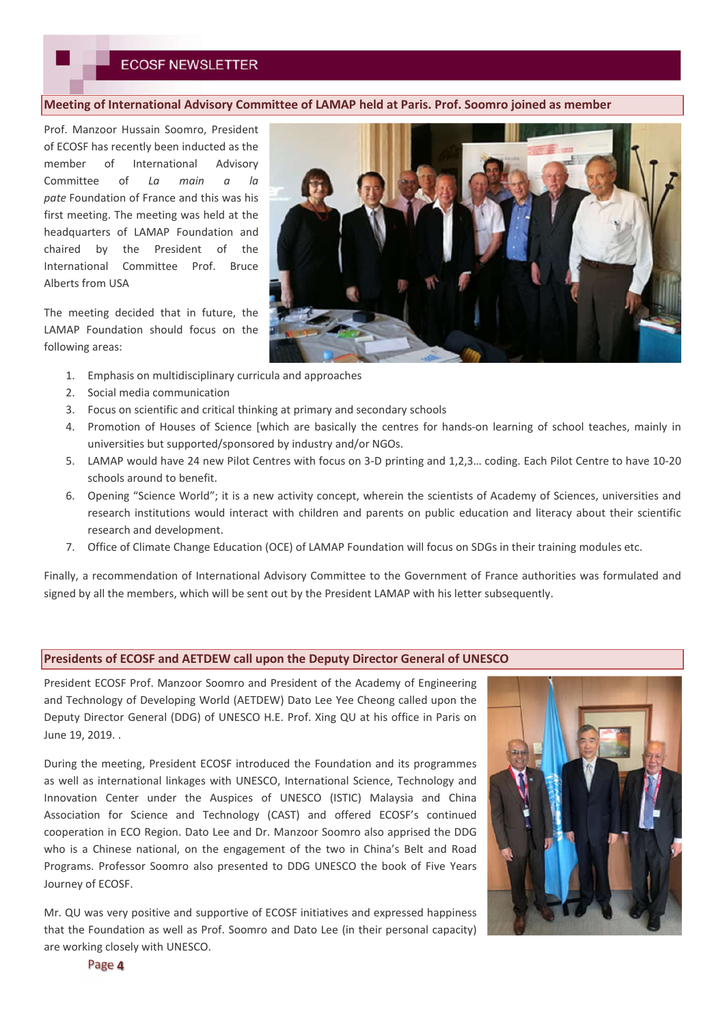#### **Meeting of International Advisory Committee of LAMAP held at Paris. Prof. Soomro joined as member**

Prof. Manzoor Hussain Soomro, President of ECOSF has recently been inducted as the member of International Advisory Committee of *La main a la pate* Foundation of France and this was his first meeting. The meeting was held at the headquarters of LAMAP Foundation and chaired by the President of the International Committee Prof. Bruce Alberts from USA

The meeting decided that in future, the LAMAP Foundation should focus on the following areas:

- 1. Emphasis on multidisciplinary curricula and approaches
- 2. Social media communication
- 3. Focus on scientific and critical thinking at primary and secondary schools
- 4. Promotion of Houses of Science [which are basically the centres for hands-on learning of school teaches, mainly in universities but supported/sponsored by industry and/or NGOs.
- 5. LAMAP would have 24 new Pilot Centres with focus on 3-D printing and 1,2,3… coding. Each Pilot Centre to have 10-20 schools around to benefit.
- 6. Opening "Science World"; it is a new activity concept, wherein the scientists of Academy of Sciences, universities and research institutions would interact with children and parents on public education and literacy about their scientific research and development.
- 7. Office of Climate Change Education (OCE) of LAMAP Foundation will focus on SDGs in their training modules etc.

Finally, a recommendation of International Advisory Committee to the Government of France authorities was formulated and signed by all the members, which will be sent out by the President LAMAP with his letter subsequently.

#### **Presidents of ECOSF and AETDEW call upon the Deputy Director General of UNESCO**

President ECOSF Prof. Manzoor Soomro and President of the Academy of Engineering and Technology of Developing World (AETDEW) Dato Lee Yee Cheong called upon the Deputy Director General (DDG) of UNESCO H.E. Prof. Xing QU at his office in Paris on June 19, 2019. .

During the meeting, President ECOSF introduced the Foundation and its programmes as well as international linkages with UNESCO, International Science, Technology and Innovation Center under the Auspices of UNESCO (ISTIC) Malaysia and China Association for Science and Technology (CAST) and offered ECOSF's continued cooperation in ECO Region. Dato Lee and Dr. Manzoor Soomro also apprised the DDG who is a Chinese national, on the engagement of the two in China's Belt and Road Programs. Professor Soomro also presented to DDG UNESCO the book of Five Years Journey of ECOSF.

Mr. QU was very positive and supportive of ECOSF initiatives and expressed happiness that the Foundation as well as Prof. Soomro and Dato Lee (in their personal capacity) are working closely with UNESCO.



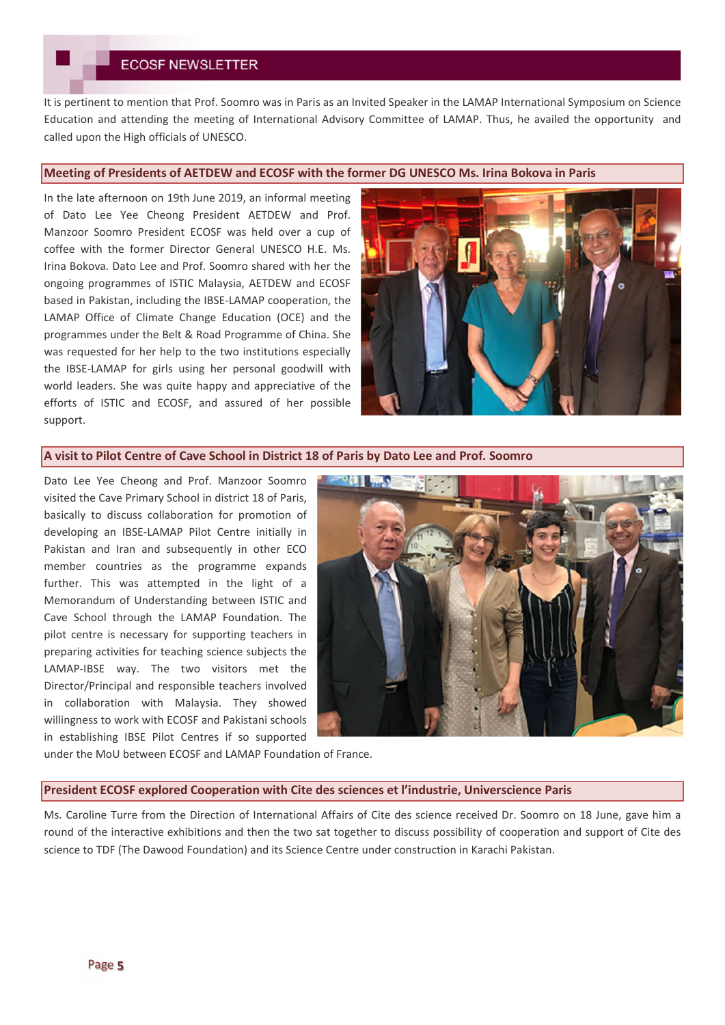It is pertinent to mention that Prof. Soomro was in Paris as an Invited Speaker in the LAMAP International Symposium on Science Education and attending the meeting of International Advisory Committee of LAMAP. Thus, he availed the opportunity and called upon the High officials of UNESCO.

#### **Meeting of Presidents of AETDEW and ECOSF with the former DG UNESCO Ms. Irina Bokova in Paris**

In the late afternoon on 19th June 2019, an informal meeting of Dato Lee Yee Cheong President AETDEW and Prof. Manzoor Soomro President ECOSF was held over a cup of coffee with the former Director General UNESCO H.E. Ms. Irina Bokova. Dato Lee and Prof. Soomro shared with her the ongoing programmes of ISTIC Malaysia, AETDEW and ECOSF based in Pakistan, including the IBSE-LAMAP cooperation, the LAMAP Office of Climate Change Education (OCE) and the programmes under the Belt & Road Programme of China. She was requested for her help to the two institutions especially the IBSE-LAMAP for girls using her personal goodwill with world leaders. She was quite happy and appreciative of the efforts of ISTIC and ECOSF, and assured of her possible support.



#### **A visit to Pilot Centre of Cave School in District 18 of Paris by Dato Lee and Prof. Soomro**

Dato Lee Yee Cheong and Prof. Manzoor Soomro visited the Cave Primary School in district 18 of Paris, basically to discuss collaboration for promotion of developing an IBSE-LAMAP Pilot Centre initially in Pakistan and Iran and subsequently in other ECO member countries as the programme expands further. This was attempted in the light of a Memorandum of Understanding between ISTIC and Cave School through the LAMAP Foundation. The pilot centre is necessary for supporting teachers in preparing activities for teaching science subjects the LAMAP-IBSE way. The two visitors met the Director/Principal and responsible teachers involved in collaboration with Malaysia. They showed willingness to work with ECOSF and Pakistani schools in establishing IBSE Pilot Centres if so supported



under the MoU between ECOSF and LAMAP Foundation of France.

#### **President ECOSF explored Cooperation with Cite des sciences et l'industrie, Universcience Paris**

Ms. Caroline Turre from the Direction of International Affairs of Cite des science received Dr. Soomro on 18 June, gave him a round of the interactive exhibitions and then the two sat together to discuss possibility of cooperation and support of Cite des science to TDF (The Dawood Foundation) and its Science Centre under construction in Karachi Pakistan.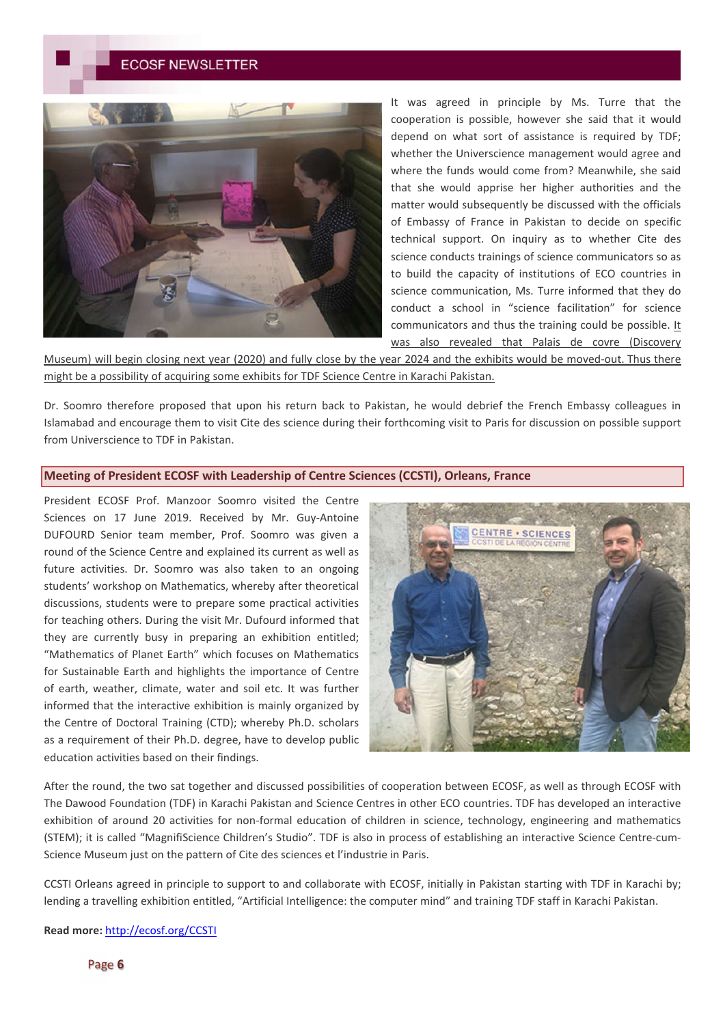

It was agreed in principle by Ms. Turre that the cooperation is possible, however she said that it would depend on what sort of assistance is required by TDF; whether the Universcience management would agree and where the funds would come from? Meanwhile, she said that she would apprise her higher authorities and the matter would subsequently be discussed with the officials of Embassy of France in Pakistan to decide on specific technical support. On inquiry as to whether Cite des science conducts trainings of science communicators so as to build the capacity of institutions of ECO countries in science communication, Ms. Turre informed that they do conduct a school in "science facilitation" for science communicators and thus the training could be possible. It was also revealed that Palais de covre (Discovery

Museum) will begin closing next year (2020) and fully close by the year 2024 and the exhibits would be moved-out. Thus there might be a possibility of acquiring some exhibits for TDF Science Centre in Karachi Pakistan.

Dr. Soomro therefore proposed that upon his return back to Pakistan, he would debrief the French Embassy colleagues in Islamabad and encourage them to visit Cite des science during their forthcoming visit to Paris for discussion on possible support from Universcience to TDF in Pakistan.

### **Meeting of President ECOSF with Leadership of Centre Sciences (CCSTI), Orleans, France**

President ECOSF Prof. Manzoor Soomro visited the Centre Sciences on 17 June 2019. Received by Mr. Guy-Antoine DUFOURD Senior team member, Prof. Soomro was given a round of the Science Centre and explained its current as well as future activities. Dr. Soomro was also taken to an ongoing students' workshop on Mathematics, whereby after theoretical discussions, students were to prepare some practical activities for teaching others. During the visit Mr. Dufourd informed that they are currently busy in preparing an exhibition entitled; "Mathematics of Planet Earth" which focuses on Mathematics for Sustainable Earth and highlights the importance of Centre of earth, weather, climate, water and soil etc. It was further informed that the interactive exhibition is mainly organized by the Centre of Doctoral Training (CTD); whereby Ph.D. scholars as a requirement of their Ph.D. degree, have to develop public education activities based on their findings.



After the round, the two sat together and discussed possibilities of cooperation between ECOSF, as well as through ECOSF with The Dawood Foundation (TDF) in Karachi Pakistan and Science Centres in other ECO countries. TDF has developed an interactive exhibition of around 20 activities for non-formal education of children in science, technology, engineering and mathematics (STEM); it is called "MagnifiScience Children's Studio". TDF is also in process of establishing an interactive Science Centre-cum-Science Museum just on the pattern of Cite des sciences et l'industrie in Paris.

CCSTI Orleans agreed in principle to support to and collaborate with ECOSF, initially in Pakistan starting with TDF in Karachi by; lending a travelling exhibition entitled, "Artificial Intelligence: the computer mind" and training TDF staff in Karachi Pakistan.

**Read more:** http://ecosf.org/CCSTI

Page 6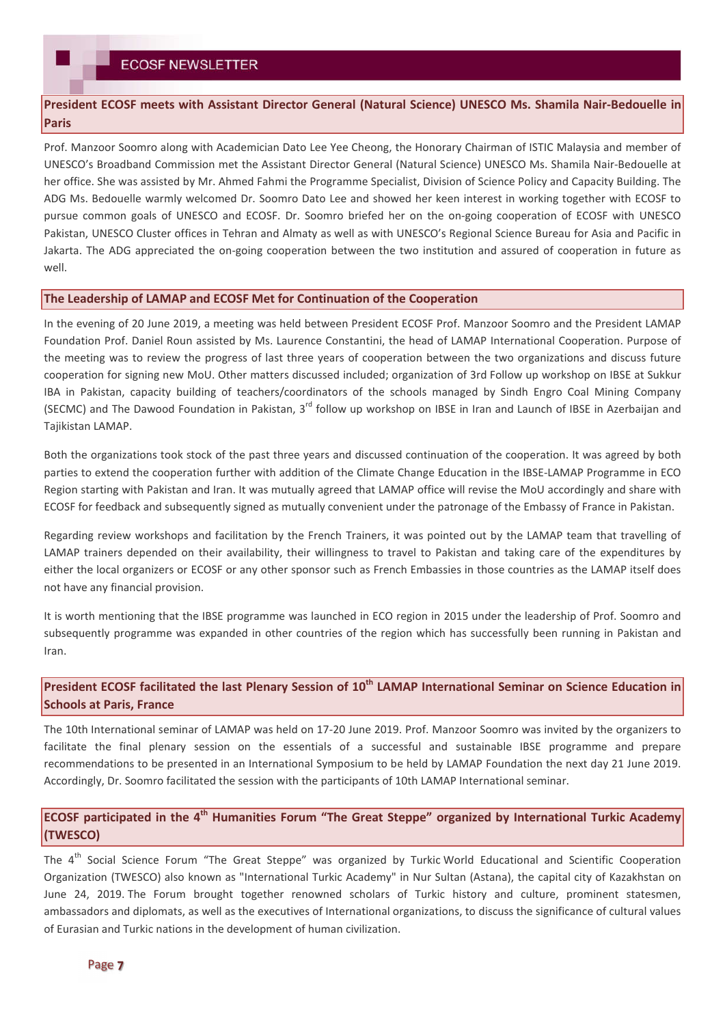### **President ECOSF meets with Assistant Director General (Natural Science) UNESCO Ms. Shamila Nair-Bedouelle in Paris**

Prof. Manzoor Soomro along with Academician Dato Lee Yee Cheong, the Honorary Chairman of ISTIC Malaysia and member of UNESCO's Broadband Commission met the Assistant Director General (Natural Science) UNESCO Ms. Shamila Nair-Bedouelle at her office. She was assisted by Mr. Ahmed Fahmi the Programme Specialist, Division of Science Policy and Capacity Building. The ADG Ms. Bedouelle warmly welcomed Dr. Soomro Dato Lee and showed her keen interest in working together with ECOSF to pursue common goals of UNESCO and ECOSF. Dr. Soomro briefed her on the on-going cooperation of ECOSF with UNESCO Pakistan, UNESCO Cluster offices in Tehran and Almaty as well as with UNESCO's Regional Science Bureau for Asia and Pacific in Jakarta. The ADG appreciated the on-going cooperation between the two institution and assured of cooperation in future as well.

#### **The Leadership of LAMAP and ECOSF Met for Continuation of the Cooperation**

In the evening of 20 June 2019, a meeting was held between President ECOSF Prof. Manzoor Soomro and the President LAMAP Foundation Prof. Daniel Roun assisted by Ms. Laurence Constantini, the head of LAMAP International Cooperation. Purpose of the meeting was to review the progress of last three years of cooperation between the two organizations and discuss future cooperation for signing new MoU. Other matters discussed included; organization of 3rd Follow up workshop on IBSE at Sukkur IBA in Pakistan, capacity building of teachers/coordinators of the schools managed by Sindh Engro Coal Mining Company (SECMC) and The Dawood Foundation in Pakistan, 3<sup>rd</sup> follow up workshop on IBSE in Iran and Launch of IBSE in Azerbaijan and Tajikistan LAMAP.

Both the organizations took stock of the past three years and discussed continuation of the cooperation. It was agreed by both parties to extend the cooperation further with addition of the Climate Change Education in the IBSE-LAMAP Programme in ECO Region starting with Pakistan and Iran. It was mutually agreed that LAMAP office will revise the MoU accordingly and share with ECOSF for feedback and subsequently signed as mutually convenient under the patronage of the Embassy of France in Pakistan.

Regarding review workshops and facilitation by the French Trainers, it was pointed out by the LAMAP team that travelling of LAMAP trainers depended on their availability, their willingness to travel to Pakistan and taking care of the expenditures by either the local organizers or ECOSF or any other sponsor such as French Embassies in those countries as the LAMAP itself does not have any financial provision.

It is worth mentioning that the IBSE programme was launched in ECO region in 2015 under the leadership of Prof. Soomro and subsequently programme was expanded in other countries of the region which has successfully been running in Pakistan and Iran.

# **President ECOSF facilitated the last Plenary Session of 10th LAMAP International Seminar on Science Education in Schools at Paris, France**

The 10th International seminar of LAMAP was held on 17-20 June 2019. Prof. Manzoor Soomro was invited by the organizers to facilitate the final plenary session on the essentials of a successful and sustainable IBSE programme and prepare recommendations to be presented in an International Symposium to be held by LAMAP Foundation the next day 21 June 2019. Accordingly, Dr. Soomro facilitated the session with the participants of 10th LAMAP International seminar.

### **ECOSF participated in the 4th Humanities Forum "The Great Steppe" organized by International Turkic Academy (TWESCO)**

The 4<sup>th</sup> Social Science Forum "The Great Steppe" was organized by Turkic World Educational and Scientific Cooperation Organization (TWESCO) also known as "International Turkic Academy" in Nur Sultan (Astana), the capital city of Kazakhstan on June 24, 2019. The Forum brought together renowned scholars of Turkic history and culture, prominent statesmen, ambassadors and diplomats, as well as the executives of International organizations, to discuss the significance of cultural values of Eurasian and Turkic nations in the development of human civilization.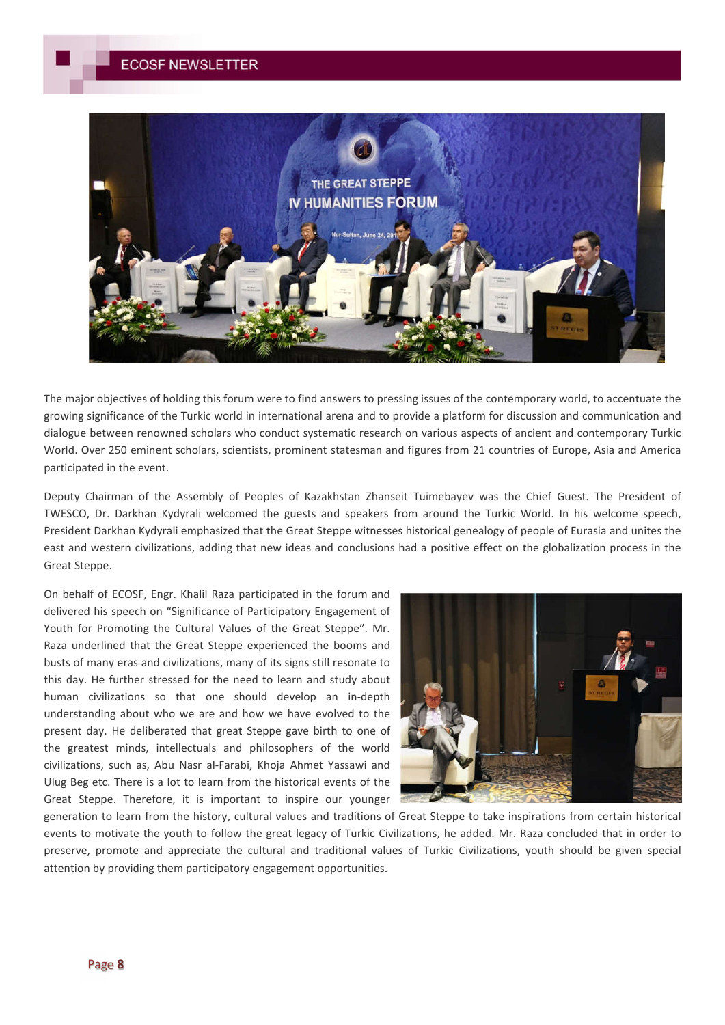

The major objectives of holding this forum were to find answers to pressing issues of the contemporary world, to accentuate the growing significance of the Turkic world in international arena and to provide a platform for discussion and communication and dialogue between renowned scholars who conduct systematic research on various aspects of ancient and contemporary Turkic World. Over 250 eminent scholars, scientists, prominent statesman and figures from 21 countries of Europe, Asia and America participated in the event.

Deputy Chairman of the Assembly of Peoples of Kazakhstan Zhanseit Tuimebayev was the Chief Guest. The President of TWESCO, Dr. Darkhan Kydyrali welcomed the guests and speakers from around the Turkic World. In his welcome speech, President Darkhan Kydyrali emphasized that the Great Steppe witnesses historical genealogy of people of Eurasia and unites the east and western civilizations, adding that new ideas and conclusions had a positive effect on the globalization process in the Great Steppe.

On behalf of ECOSF, Engr. Khalil Raza participated in the forum and delivered his speech on "Significance of Participatory Engagement of Youth for Promoting the Cultural Values of the Great Steppe". Mr. Raza underlined that the Great Steppe experienced the booms and busts of many eras and civilizations, many of its signs still resonate to this day. He further stressed for the need to learn and study about human civilizations so that one should develop an in-depth understanding about who we are and how we have evolved to the present day. He deliberated that great Steppe gave birth to one of the greatest minds, intellectuals and philosophers of the world civilizations, such as, Abu Nasr al-Farabi, Khoja Ahmet Yassawi and Ulug Beg etc. There is a lot to learn from the historical events of the Great Steppe. Therefore, it is important to inspire our younger



generation to learn from the history, cultural values and traditions of Great Steppe to take inspirations from certain historical events to motivate the youth to follow the great legacy of Turkic Civilizations, he added. Mr. Raza concluded that in order to preserve, promote and appreciate the cultural and traditional values of Turkic Civilizations, youth should be given special attention by providing them participatory engagement opportunities.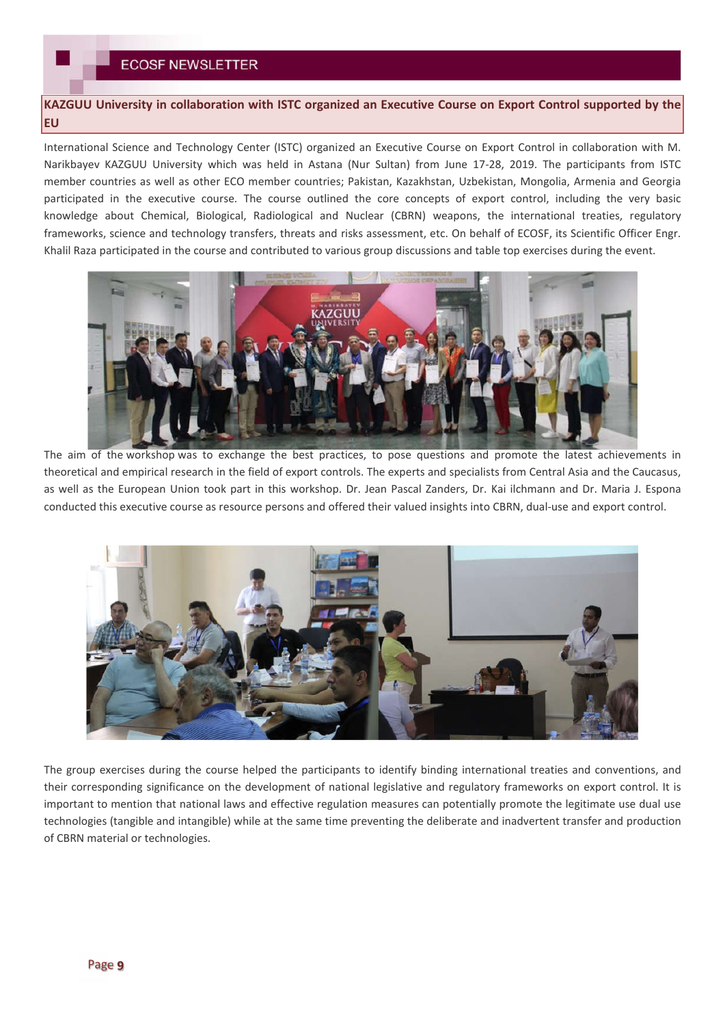# **KAZGUU University in collaboration with ISTC organized an Executive Course on Export Control supported by the EU**

International Science and Technology Center (ISTC) organized an Executive Course on Export Control in collaboration with M. Narikbayev KAZGUU University which was held in Astana (Nur Sultan) from June 17-28, 2019. The participants from ISTC member countries as well as other ECO member countries; Pakistan, Kazakhstan, Uzbekistan, Mongolia, Armenia and Georgia participated in the executive course. The course outlined the core concepts of export control, including the very basic knowledge about Chemical, Biological, Radiological and Nuclear (CBRN) weapons, the international treaties, regulatory frameworks, science and technology transfers, threats and risks assessment, etc. On behalf of ECOSF, its Scientific Officer Engr. Khalil Raza participated in the course and contributed to various group discussions and table top exercises during the event.



The aim of the workshop was to exchange the best practices, to pose questions and promote the latest achievements in theoretical and empirical research in the field of export controls. The experts and specialists from Central Asia and the Caucasus, as well as the European Union took part in this workshop. Dr. Jean Pascal Zanders, Dr. Kai ilchmann and Dr. Maria J. Espona conducted this executive course as resource persons and offered their valued insights into CBRN, dual-use and export control.



The group exercises during the course helped the participants to identify binding international treaties and conventions, and their corresponding significance on the development of national legislative and regulatory frameworks on export control. It is important to mention that national laws and effective regulation measures can potentially promote the legitimate use dual use technologies (tangible and intangible) while at the same time preventing the deliberate and inadvertent transfer and production of CBRN material or technologies.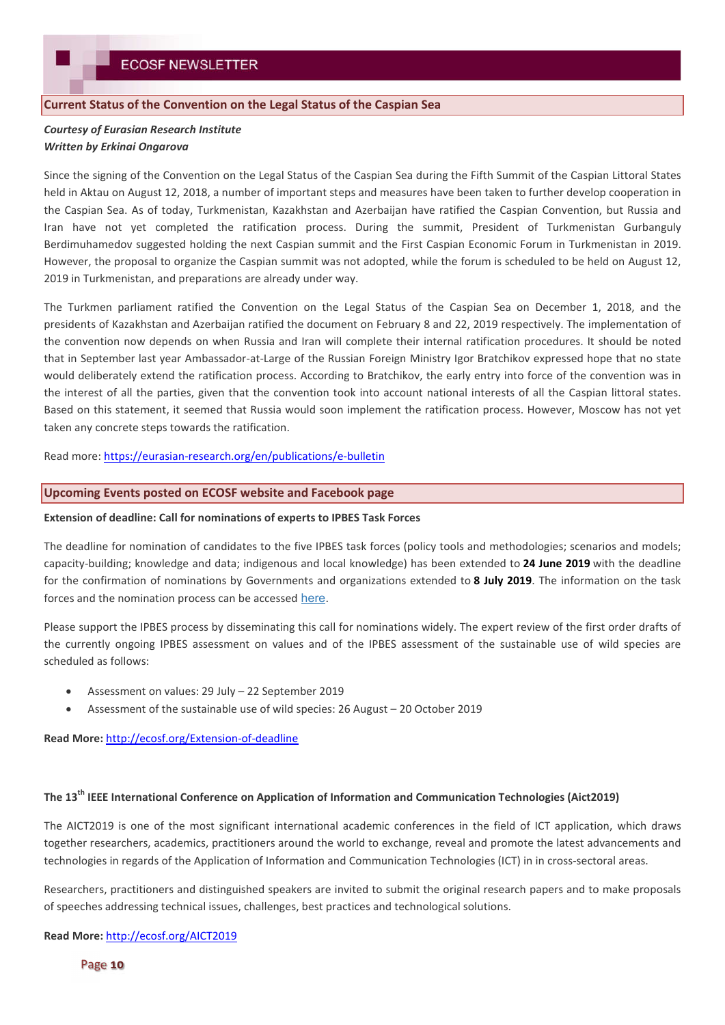#### **Current Status of the Convention on the Legal Status of the Caspian Sea**

### *Courtesy of Eurasian Research Institute Written by Erkinai Ongarova*

Since the signing of the Convention on the Legal Status of the Caspian Sea during the Fifth Summit of the Caspian Littoral States held in Aktau on August 12, 2018, a number of important steps and measures have been taken to further develop cooperation in the Caspian Sea. As of today, Turkmenistan, Kazakhstan and Azerbaijan have ratified the Caspian Convention, but Russia and Iran have not yet completed the ratification process. During the summit, President of Turkmenistan Gurbanguly Berdimuhamedov suggested holding the next Caspian summit and the First Caspian Economic Forum in Turkmenistan in 2019. However, the proposal to organize the Caspian summit was not adopted, while the forum is scheduled to be held on August 12, 2019 in Turkmenistan, and preparations are already under way.

The Turkmen parliament ratified the Convention on the Legal Status of the Caspian Sea on December 1, 2018, and the presidents of Kazakhstan and Azerbaijan ratified the document on February 8 and 22, 2019 respectively. The implementation of the convention now depends on when Russia and Iran will complete their internal ratification procedures. It should be noted that in September last year Ambassador-at-Large of the Russian Foreign Ministry Igor Bratchikov expressed hope that no state would deliberately extend the ratification process. According to Bratchikov, the early entry into force of the convention was in the interest of all the parties, given that the convention took into account national interests of all the Caspian littoral states. Based on this statement, it seemed that Russia would soon implement the ratification process. However, Moscow has not yet taken any concrete steps towards the ratification.

Read more: https://eurasian-research.org/en/publications/e-bulletin

#### **Upcoming Events posted on ECOSF website and Facebook page**

#### **Extension of deadline: Call for nominations of experts to IPBES Task Forces**

The deadline for nomination of candidates to the five IPBES task forces (policy tools and methodologies; scenarios and models; capacity-building; knowledge and data; indigenous and local knowledge) has been extended to **24 June 2019** with the deadline for the confirmation of nominations by Governments and organizations extended to **8 July 2019**. The information on the task forces and the nomination process can be accessed here.

Please support the IPBES process by disseminating this call for nominations widely. The expert review of the first order drafts of the currently ongoing IPBES assessment on values and of the IPBES assessment of the sustainable use of wild species are scheduled as follows:

- Assessment on values: 29 July 22 September 2019
- Assessment of the sustainable use of wild species: 26 August 20 October 2019

**Read More:** http://ecosf.org/Extension-of-deadline

### **The 13th IEEE International Conference on Application of Information and Communication Technologies (Aict2019)**

The AICT2019 is one of the most significant international academic conferences in the field of ICT application, which draws together researchers, academics, practitioners around the world to exchange, reveal and promote the latest advancements and technologies in regards of the Application of Information and Communication Technologies (ICT) in in cross-sectoral areas.

Researchers, practitioners and distinguished speakers are invited to submit the original research papers and to make proposals of speeches addressing technical issues, challenges, best practices and technological solutions.

**Read More:** http://ecosf.org/AICT2019